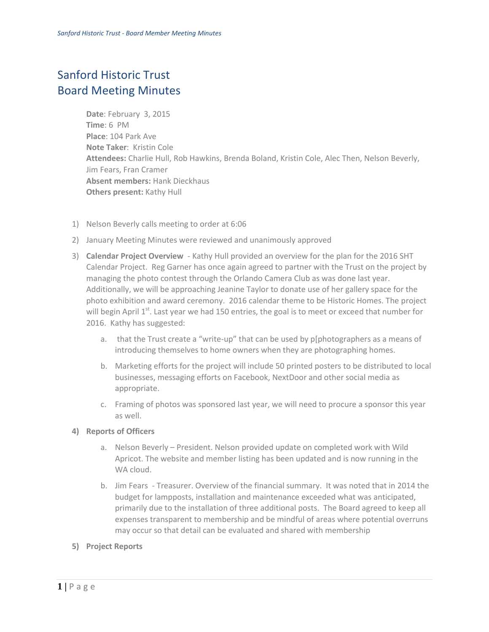## Sanford Historic Trust Board Meeting Minutes

**Date**: February 3, 2015 **Time**: 6 PM **Place**: 104 Park Ave **Note Taker**: Kristin Cole **Attendees:** Charlie Hull, Rob Hawkins, Brenda Boland, Kristin Cole, Alec Then, Nelson Beverly, Jim Fears, Fran Cramer **Absent members:** Hank Dieckhaus **Others present:** Kathy Hull

- 1) Nelson Beverly calls meeting to order at 6:06
- 2) January Meeting Minutes were reviewed and unanimously approved
- 3) **Calendar Project Overview** Kathy Hull provided an overview for the plan for the 2016 SHT Calendar Project. Reg Garner has once again agreed to partner with the Trust on the project by managing the photo contest through the Orlando Camera Club as was done last year. Additionally, we will be approaching Jeanine Taylor to donate use of her gallery space for the photo exhibition and award ceremony. 2016 calendar theme to be Historic Homes. The project will begin April 1<sup>st</sup>. Last year we had 150 entries, the goal is to meet or exceed that number for 2016. Kathy has suggested:
	- a. that the Trust create a "write-up" that can be used by p[photographers as a means of introducing themselves to home owners when they are photographing homes.
	- b. Marketing efforts for the project will include 50 printed posters to be distributed to local businesses, messaging efforts on Facebook, NextDoor and other social media as appropriate.
	- c. Framing of photos was sponsored last year, we will need to procure a sponsor this year as well.

## **4) Reports of Officers**

- a. Nelson Beverly President. Nelson provided update on completed work with Wild Apricot. The website and member listing has been updated and is now running in the WA cloud.
- b. Jim Fears Treasurer. Overview of the financial summary. It was noted that in 2014 the budget for lampposts, installation and maintenance exceeded what was anticipated, primarily due to the installation of three additional posts. The Board agreed to keep all expenses transparent to membership and be mindful of areas where potential overruns may occur so that detail can be evaluated and shared with membership
- **5) Project Reports**